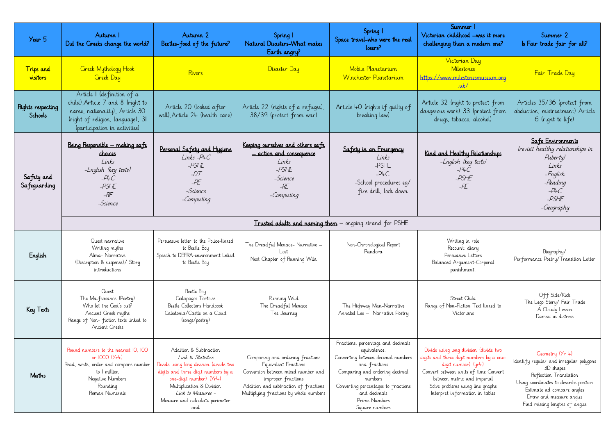| Year 5                              | Autumn I<br>Did the Greeks change the world?                                                                                                                            | Autumn 2<br>Beetles-food of the future?                                                                                                                                                                                                                          | Spring 1<br>Natural Disasters-What makes<br>Earth angry?                                                                                                                                                 | Spring 1<br>Space travel-who were the real<br>losers?                                                                                                                                                                                            | Summer I<br>Victorian childhood –was it more<br>challenging than a modern one?                                                                                                                                                                            |  |  |
|-------------------------------------|-------------------------------------------------------------------------------------------------------------------------------------------------------------------------|------------------------------------------------------------------------------------------------------------------------------------------------------------------------------------------------------------------------------------------------------------------|----------------------------------------------------------------------------------------------------------------------------------------------------------------------------------------------------------|--------------------------------------------------------------------------------------------------------------------------------------------------------------------------------------------------------------------------------------------------|-----------------------------------------------------------------------------------------------------------------------------------------------------------------------------------------------------------------------------------------------------------|--|--|
| <b>Trips</b> and<br>visitors        | <b>Creek Mythology Hook</b><br><b>Greek Day</b>                                                                                                                         | Rivers                                                                                                                                                                                                                                                           | Disaster Day                                                                                                                                                                                             | Mobile Planetarium<br>Winchester Planetarium                                                                                                                                                                                                     | Victorian Day<br>Milestones<br>https://www.milestonesmuseum.org<br>uk/                                                                                                                                                                                    |  |  |
| Rights respecting<br><b>Schools</b> | Article I (definition of a<br>child), Article 7 and 8 (right to<br>name, nationality), Article 30<br>(right of religion, language), 31<br>(participation in activities) | Article 20 (looked after<br>well), Article 24 (health care)                                                                                                                                                                                                      | Article 40 (rights if guilty of<br>Article 22 (rights of a refugee),<br>38/39 (protect from war)<br>breaking law)                                                                                        |                                                                                                                                                                                                                                                  | Article 32 (right to protect from<br>dangerous work) 33 (protect from<br>drugs, tobacco, alcohol)                                                                                                                                                         |  |  |
| Safety and<br>Safeguarding          | Being Responsible - making safe<br>choices<br>Links<br>-English (key tests)<br>$-$ P4C<br>$-PSHE$<br>$-RE$<br>-Science                                                  | Personal Safety and Hygiene<br>$Links - P4C$<br>-PSHE<br>$-DT$<br>$-PE$<br>-Science<br>-Computing                                                                                                                                                                | Keeping ourselves and others safe<br>- action and consequence<br>Links<br>$-PSHE$<br>-Science<br>$-RE$<br>-Computing                                                                                     | Safety in an Emergency<br>Links<br>-PSHE<br>$-$ P4 $C$<br>-School procedures eq/<br>fire drill, lock down                                                                                                                                        | Kind and Healthy Relationships<br>-English (key tests)<br>$-PLC$<br>$-PSHE$<br>$-RE$                                                                                                                                                                      |  |  |
|                                     | <b>Trusted adults and naming them</b> – ongoing strand for PSHE                                                                                                         |                                                                                                                                                                                                                                                                  |                                                                                                                                                                                                          |                                                                                                                                                                                                                                                  |                                                                                                                                                                                                                                                           |  |  |
| English                             | Quest narrative<br>Writing myths<br>Alma-Narrative<br>(Description & suspense)/ Story<br>introductions                                                                  | Persuasive letter to the Police-linked<br>to Beetle Boy<br>Speech to DEFRA-environment linked<br>to Beetle Boy                                                                                                                                                   | The Dread ful Menace- Narrative -<br>Lost<br>Next Chapter of Running Wild                                                                                                                                | Non-Chronological Report<br>Pandora                                                                                                                                                                                                              | Writing in role<br>Recount: diary<br>Persuasive Letters<br>Balanced Argument-Corporal<br>punishment.                                                                                                                                                      |  |  |
| Key Texts                           | Quest<br>The Malfeasance (Poetry)<br>Who let the God's out?<br>Ancient Greek myths<br>Range of Non-fiction texts linked to<br>Ancient Greeks                            | Beetle Boy<br>Galapagos Tortoise<br>Beetle Collectors Handbook<br>Caledonia/Castle on a Cloud<br>(songs/poetry)                                                                                                                                                  | Running Wild<br>The Dread ful Menace<br>The Journey                                                                                                                                                      | The Highway Man-Narrative<br>Annabel Lee - Narrative Poetry                                                                                                                                                                                      | Street Child<br>Range of Non-Fiction Text linked to<br>Victorians                                                                                                                                                                                         |  |  |
| Maths                               | Round numbers to the nearest IO, IOO<br>or 1000 (Yr4)<br>Read, write, order and compare number<br>to I million<br>Negative Numbers<br>Rounding<br>Roman Numerals        | Addition & Subtraction<br>Link to Statistics<br>Divide using long division (divide two<br>digits and three digit numbers by a<br>one-digit number) $(Yr\downarrow)$<br>Multiplication & Division<br>Link to Measures -<br>Measure and calculate perimeter<br>and | Comparing and ordering fractions<br>Equivalent Fractions<br>Conversion between mixed number and<br>improper fractions<br>Addition and subtraction of fractions<br>Multiplying fractions by whole numbers | Fractions, percentage and decimals<br>equivalence.<br>Converting between decimal numbers<br>and fractions<br>Comparing and ordering decimal<br>numbers<br>Converting percentages to fractions<br>and decimals<br>Prime Numbers<br>Square numbers | Divide using long division (divide two<br>digits and three digit numbers by a one-<br>digit number) (yr4)<br>Convert between units of time Convert<br>between metric and imperial<br>Solve problems using line graphs<br>Interpret in formation in tables |  |  |

| rer 1<br>od —was it more<br>a modern one?                                                                                            | Summer 2<br>Is Fair trade fair for all?                                                                                                                                                                                                |
|--------------------------------------------------------------------------------------------------------------------------------------|----------------------------------------------------------------------------------------------------------------------------------------------------------------------------------------------------------------------------------------|
| ın Day<br><u>ones</u><br><u>tonesmuseum.org</u><br>$\perp$                                                                           | <u>Fair Trade Day</u>                                                                                                                                                                                                                  |
| to protect from<br>33 (protect from<br>co, alcohol)                                                                                  | Articles 35/36 (protect from<br>abduction, mistreatment) Article<br>6 (right to life)                                                                                                                                                  |
| uy Relationships<br>'key tests)<br>ıС<br>ΉE<br>E                                                                                     | <u>Safe Environments</u><br>(revisit healthy relationships in<br>Puberty)<br>Links<br>– English<br>-Reading<br>$-P4C$<br>-PSHE<br>–Geography                                                                                           |
|                                                                                                                                      |                                                                                                                                                                                                                                        |
| in role<br>: diary<br>e Letters<br>nent-Corporal<br>ment.                                                                            | Biography/<br>Performance Poetry/Transition Letter                                                                                                                                                                                     |
| Child<br>ion Text linked to<br>ians                                                                                                  | Off Side/Kick<br>The Lego Story/ Fair Trade<br>A Cloudy Lesson<br>Damsel in distress                                                                                                                                                   |
| ivision (divide two<br>numbers by a one-<br>er) (yr4)<br>ts of time Convert.<br>and imperial<br>sing line graphs<br>iation in tables | Geometry (Yr 4)<br>ldentify regular and irregular polygons<br>3D shapes<br>Reflection Translation<br>Using coordinates to describe position<br>Estimate ad compare angles<br>Draw and measure angles<br>Find missing lengths of angles |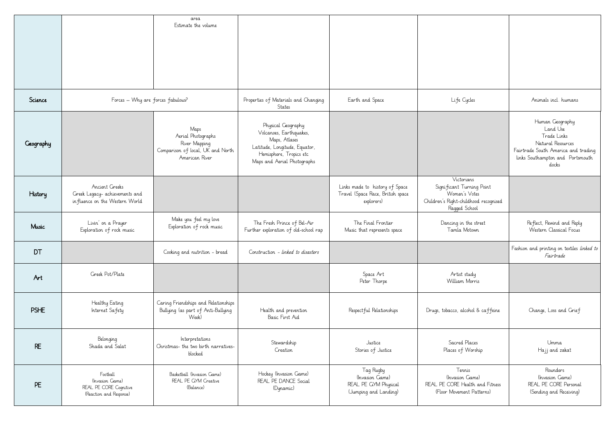|             | area<br>Estimate the volume                                                        |                                                                                                    |                                                                                                                                                           |                                                                                   |                                                                                                                    |                                                                                                                                                     |
|-------------|------------------------------------------------------------------------------------|----------------------------------------------------------------------------------------------------|-----------------------------------------------------------------------------------------------------------------------------------------------------------|-----------------------------------------------------------------------------------|--------------------------------------------------------------------------------------------------------------------|-----------------------------------------------------------------------------------------------------------------------------------------------------|
|             |                                                                                    |                                                                                                    |                                                                                                                                                           |                                                                                   |                                                                                                                    |                                                                                                                                                     |
| Science     | Forces - Why are forces fabulous?                                                  |                                                                                                    | Properties of Materials and Changing<br>States                                                                                                            | Earth and Space                                                                   | Life Cycles                                                                                                        | Animals incl. humans                                                                                                                                |
| Geography   |                                                                                    | Maps<br>Aerial Photographs<br>River Mapping<br>Comparison of local, UK and North<br>American River | Physical Geography<br>Volcanoes, Earthquakes,<br>Maps, Atlases<br>Latitude, Longitude, Equator,<br>Hemisphere, Tropics etc<br>Maps and Aerial Photographs |                                                                                   |                                                                                                                    | Human Geography<br>Land Use<br>Trade Links<br>Natural Resources<br>Fairtrade South America and trading<br>links Southampton and Portsmouth<br>docks |
| History     | Ancient Greeks<br>Greek Legacy- achievements and<br>influence on the Western World |                                                                                                    |                                                                                                                                                           | Links made to history of Space<br>Travel (Space Race, British space<br>explorers) | Victorians<br>Significant Turning Point<br>Women's Votes<br>Children's Right-childhood recognised<br>Ragged School |                                                                                                                                                     |
| Music       | Livin' on a Prayer<br>Exploration of rock music                                    | Make you feel my love<br>Exploration of rock music                                                 | The Fresh Prince of Bel-Air<br>Further exploration of old-school rap                                                                                      | The Final Frontier<br>Music that represents space                                 | Dancing in the street<br>Tamla Motown                                                                              | Reflect, Rewind and Reply<br>Western Classical Focus                                                                                                |
| DT          |                                                                                    | Cooking and nutrition - bread                                                                      | Construction - linked to disasters                                                                                                                        |                                                                                   |                                                                                                                    | Fashion and printing on textiles linked to<br>Fairtrade                                                                                             |
| Art         | Greek Pot/Plate                                                                    |                                                                                                    |                                                                                                                                                           | Space Art<br>Peter Thorpe                                                         | Artist study<br>William Morris                                                                                     |                                                                                                                                                     |
| <b>PSHE</b> | Healthy Eating<br>Internet Safety                                                  | Caring Friendships and Relationships<br>Bullying (as part of Anti-Bullying<br>Week)                | Health and prevention<br>Basic First Aid                                                                                                                  | Respectful Relationships                                                          | Drugs, tobacco, alcohol & caffeine                                                                                 | Change, Loss and Grief                                                                                                                              |
| <b>RE</b>   | Belonging<br>Shada and Salat                                                       | Interpretations<br>Christmas- the two birth narratives-<br>blocked                                 | Stewardship<br>Creation                                                                                                                                   | Justice<br>Stories of Justice                                                     | Sacred Places<br>Places of Worship                                                                                 | Umma<br>Hajj and zakat                                                                                                                              |
| PE          | Football<br>(Invasion Game)<br>REAL PE CORE Cognitive<br>(Reaction and Response)   | Basketball (Invasion Game)<br>REAL PE GYM Creative<br>(Balance)                                    | Hockey (Invasion Game)<br>REAL PE DANCE Social<br>(Dynamic)                                                                                               | Tag Rugby<br>(Invasion Game)<br>REAL PE GYM Physical<br>(Jumping and Landing)     | Tennis<br>(Invasion Game)<br>REAL PE CORE Health and Fitness<br>(Floor Movement Patterns)                          | Rounders<br>(Invasion Game)<br>REAL PE CORE Personal<br>(Sending and Receiving)                                                                     |